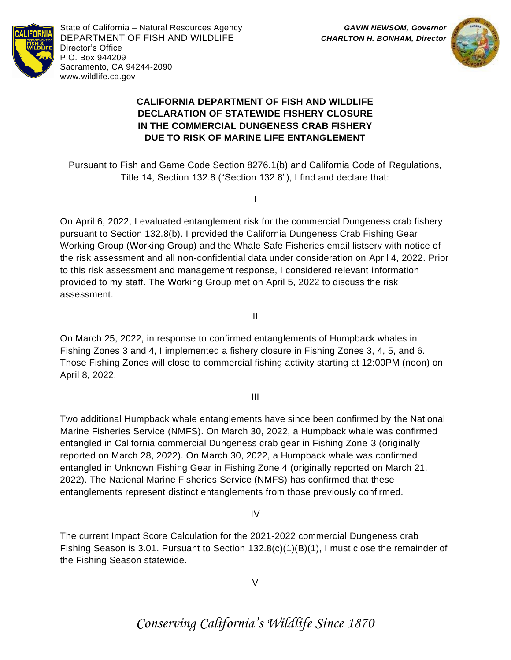

State of California – Natural Resources Agency *GAVIN NEWSOM, Governor* DEPARTMENT OF FISH AND WILDLIFE *CHARLTON H. BONHAM, Director*  Director's Office P.O. Box 944209 Sacramento, CA 94244-2090 www.wildlife.ca.gov



## **CALIFORNIA DEPARTMENT OF FISH AND WILDLIFE DECLARATION OF STATEWIDE FISHERY CLOSURE IN THE COMMERCIAL DUNGENESS CRAB FISHERY DUE TO RISK OF MARINE LIFE ENTANGLEMENT**

Pursuant to Fish and Game Code Section 8276.1(b) and California Code of Regulations, Title 14, Section 132.8 ("Section 132.8"), I find and declare that:

I

On April 6, 2022, I evaluated entanglement risk for the commercial Dungeness crab fishery pursuant to Section 132.8(b). I provided the California Dungeness Crab Fishing Gear Working Group (Working Group) and the Whale Safe Fisheries email listserv with notice of the risk assessment and all non-confidential data under consideration on April 4, 2022. Prior to this risk assessment and management response, I considered relevant information provided to my staff. The Working Group met on April 5, 2022 to discuss the risk assessment.

II

On March 25, 2022, in response to confirmed entanglements of Humpback whales in Fishing Zones 3 and 4, I implemented a fishery closure in Fishing Zones 3, 4, 5, and 6. Those Fishing Zones will close to commercial fishing activity starting at 12:00PM (noon) on April 8, 2022.

III

Two additional Humpback whale entanglements have since been confirmed by the National Marine Fisheries Service (NMFS). On March 30, 2022, a Humpback whale was confirmed entangled in California commercial Dungeness crab gear in Fishing Zone 3 (originally reported on March 28, 2022). On March 30, 2022, a Humpback whale was confirmed entangled in Unknown Fishing Gear in Fishing Zone 4 (originally reported on March 21, 2022). The National Marine Fisheries Service (NMFS) has confirmed that these entanglements represent distinct entanglements from those previously confirmed.

IV

The current Impact Score Calculation for the 2021-2022 commercial Dungeness crab Fishing Season is 3.01. Pursuant to Section 132.8(c)(1)(B)(1), I must close the remainder of the Fishing Season statewide.

V

# *Conserving California's Wildlife Since 1870*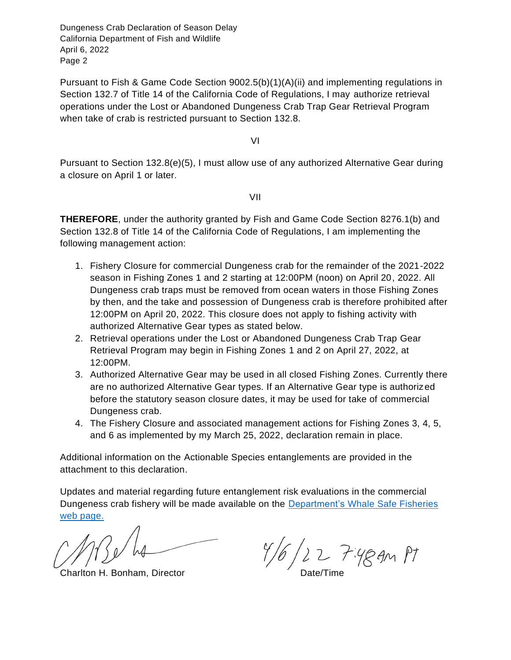Dungeness Crab Declaration of Season Delay California Department of Fish and Wildlife April 6, 2022 Page 2

Pursuant to Fish & Game Code Section 9002.5(b)(1)(A)(ii) and implementing regulations in Section 132.7 of Title 14 of the California Code of Regulations, I may authorize retrieval operations under the Lost or Abandoned Dungeness Crab Trap Gear Retrieval Program when take of crab is restricted pursuant to Section 132.8.

VI

Pursuant to Section 132.8(e)(5), I must allow use of any authorized Alternative Gear during a closure on April 1 or later.

VII

**THEREFORE**, under the authority granted by Fish and Game Code Section 8276.1(b) and Section 132.8 of Title 14 of the California Code of Regulations, I am implementing the following management action:

- 1. Fishery Closure for commercial Dungeness crab for the remainder of the 2021-2022 season in Fishing Zones 1 and 2 starting at 12:00PM (noon) on April 20, 2022. All Dungeness crab traps must be removed from ocean waters in those Fishing Zones by then, and the take and possession of Dungeness crab is therefore prohibited after 12:00PM on April 20, 2022. This closure does not apply to fishing activity with authorized Alternative Gear types as stated below.
- 2. Retrieval operations under the Lost or Abandoned Dungeness Crab Trap Gear Retrieval Program may begin in Fishing Zones 1 and 2 on April 27, 2022, at 12:00PM.
- 3. Authorized Alternative Gear may be used in all closed Fishing Zones. Currently there are no authorized Alternative Gear types. If an Alternative Gear type is authorized before the statutory season closure dates, it may be used for take of commercial Dungeness crab.
- 4. The Fishery Closure and associated management actions for Fishing Zones 3, 4, 5, and 6 as implemented by my March 25, 2022, declaration remain in place.

Additional information on the Actionable Species entanglements are provided in the attachment to this declaration.

Updates and material regarding future entanglement risk evaluations in the commercial Dungeness crab fishery will be made available on the **Department's Whale Safe Fisheries** [web page.](http://www.wildlife.ca.gov/Conservation/Marine/Whale-Safe-Fisheries)

 $\frac{f}{6}$  2  $\frac{7.4}{9}$  and Pt Charlton H. Bonham, Director Date/Time